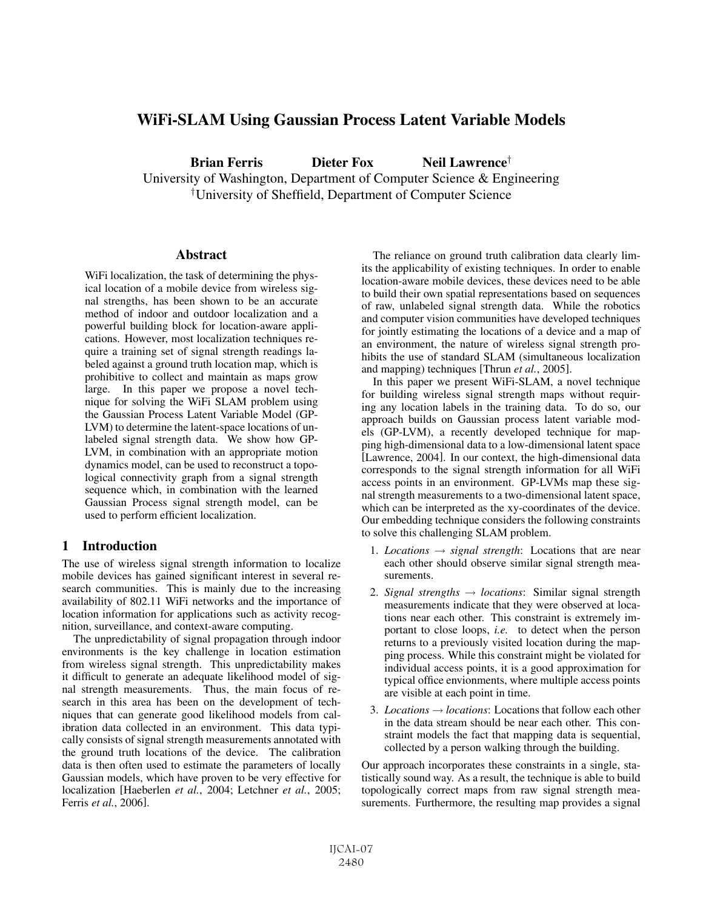# WiFi-SLAM Using Gaussian Process Latent Variable Models

Brian Ferris Dieter Fox Neil Lawrence<sup>†</sup> University of Washington, Department of Computer Science & Engineering † University of Sheffield, Department of Computer Science

## Abstract

WiFi localization, the task of determining the physical location of a mobile device from wireless signal strengths, has been shown to be an accurate method of indoor and outdoor localization and a powerful building block for location-aware applications. However, most localization techniques require a training set of signal strength readings labeled against a ground truth location map, which is prohibitive to collect and maintain as maps grow large. In this paper we propose a novel technique for solving the WiFi SLAM problem using the Gaussian Process Latent Variable Model (GP-LVM) to determine the latent-space locations of unlabeled signal strength data. We show how GP-LVM, in combination with an appropriate motion dynamics model, can be used to reconstruct a topological connectivity graph from a signal strength sequence which, in combination with the learned Gaussian Process signal strength model, can be used to perform efficient localization.

# 1 Introduction

The use of wireless signal strength information to localize mobile devices has gained significant interest in several research communities. This is mainly due to the increasing availability of 802.11 WiFi networks and the importance of location information for applications such as activity recognition, surveillance, and context-aware computing.

The unpredictability of signal propagation through indoor environments is the key challenge in location estimation from wireless signal strength. This unpredictability makes it difficult to generate an adequate likelihood model of signal strength measurements. Thus, the main focus of research in this area has been on the development of techniques that can generate good likelihood models from calibration data collected in an environment. This data typically consists of signal strength measurements annotated with the ground truth locations of the device. The calibration data is then often used to estimate the parameters of locally Gaussian models, which have proven to be very effective for localization [Haeberlen *et al.*, 2004; Letchner *et al.*, 2005; Ferris *et al.*, 2006].

The reliance on ground truth calibration data clearly limits the applicability of existing techniques. In order to enable location-aware mobile devices, these devices need to be able to build their own spatial representations based on sequences of raw, unlabeled signal strength data. While the robotics and computer vision communities have developed techniques for jointly estimating the locations of a device and a map of an environment, the nature of wireless signal strength prohibits the use of standard SLAM (simultaneous localization and mapping) techniques [Thrun *et al.*, 2005].

In this paper we present WiFi-SLAM, a novel technique for building wireless signal strength maps without requiring any location labels in the training data. To do so, our approach builds on Gaussian process latent variable models (GP-LVM), a recently developed technique for mapping high-dimensional data to a low-dimensional latent space [Lawrence, 2004]. In our context, the high-dimensional data corresponds to the signal strength information for all WiFi access points in an environment. GP-LVMs map these signal strength measurements to a two-dimensional latent space, which can be interpreted as the xy-coordinates of the device. Our embedding technique considers the following constraints to solve this challenging SLAM problem.

- 1. *Locations*  $\rightarrow$  *signal strength*: Locations that are near each other should observe similar signal strength measurements.
- 2. *Signal strengths* → *locations*: Similar signal strength measurements indicate that they were observed at locations near each other. This constraint is extremely important to close loops, *i.e.* to detect when the person returns to a previously visited location during the mapping process. While this constraint might be violated for individual access points, it is a good approximation for typical office envionments, where multiple access points are visible at each point in time.
- 3. *Locations* → *locations*: Locations that follow each other in the data stream should be near each other. This constraint models the fact that mapping data is sequential, collected by a person walking through the building.

Our approach incorporates these constraints in a single, statistically sound way. As a result, the technique is able to build topologically correct maps from raw signal strength measurements. Furthermore, the resulting map provides a signal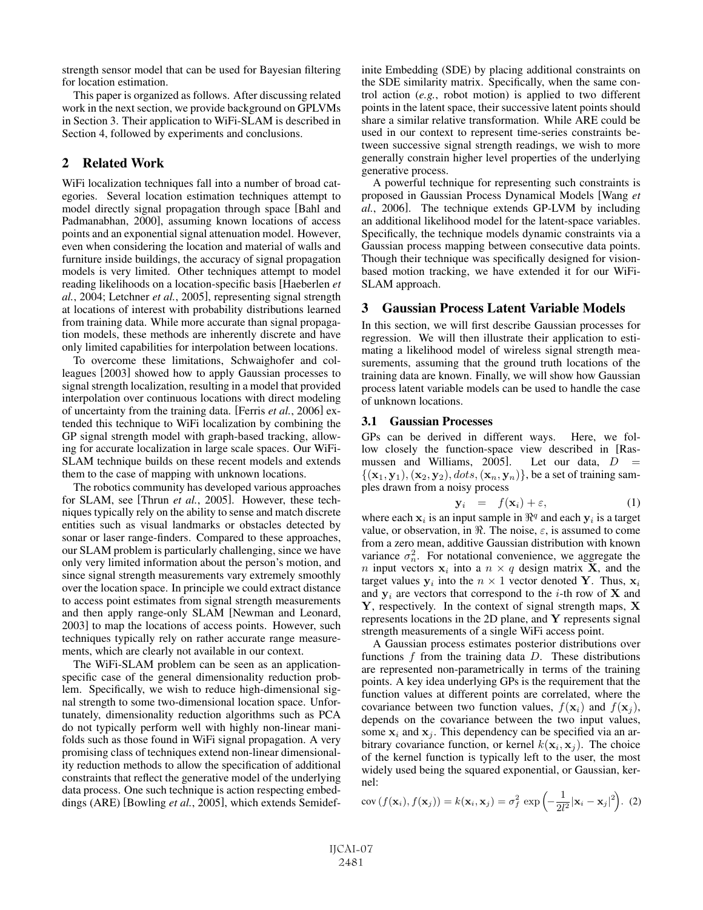strength sensor model that can be used for Bayesian filtering for location estimation.

This paper is organized as follows. After discussing related work in the next section, we provide background on GPLVMs in Section 3. Their application to WiFi-SLAM is described in Section 4, followed by experiments and conclusions.

# 2 Related Work

WiFi localization techniques fall into a number of broad categories. Several location estimation techniques attempt to model directly signal propagation through space [Bahl and Padmanabhan, 2000], assuming known locations of access points and an exponential signal attenuation model. However, even when considering the location and material of walls and furniture inside buildings, the accuracy of signal propagation models is very limited. Other techniques attempt to model reading likelihoods on a location-specific basis [Haeberlen *et al.*, 2004; Letchner *et al.*, 2005], representing signal strength at locations of interest with probability distributions learned from training data. While more accurate than signal propagation models, these methods are inherently discrete and have only limited capabilities for interpolation between locations.

To overcome these limitations, Schwaighofer and colleagues [2003] showed how to apply Gaussian processes to signal strength localization, resulting in a model that provided interpolation over continuous locations with direct modeling of uncertainty from the training data. [Ferris *et al.*, 2006] extended this technique to WiFi localization by combining the GP signal strength model with graph-based tracking, allowing for accurate localization in large scale spaces. Our WiFi-SLAM technique builds on these recent models and extends them to the case of mapping with unknown locations.

The robotics community has developed various approaches for SLAM, see [Thrun *et al.*, 2005]. However, these techniques typically rely on the ability to sense and match discrete entities such as visual landmarks or obstacles detected by sonar or laser range-finders. Compared to these approaches, our SLAM problem is particularly challenging, since we have only very limited information about the person's motion, and since signal strength measurements vary extremely smoothly over the location space. In principle we could extract distance to access point estimates from signal strength measurements and then apply range-only SLAM [Newman and Leonard, 2003] to map the locations of access points. However, such techniques typically rely on rather accurate range measurements, which are clearly not available in our context.

The WiFi-SLAM problem can be seen as an applicationspecific case of the general dimensionality reduction problem. Specifically, we wish to reduce high-dimensional signal strength to some two-dimensional location space. Unfortunately, dimensionality reduction algorithms such as PCA do not typically perform well with highly non-linear manifolds such as those found in WiFi signal propagation. A very promising class of techniques extend non-linear dimensionality reduction methods to allow the specification of additional constraints that reflect the generative model of the underlying data process. One such technique is action respecting embeddings (ARE) [Bowling *et al.*, 2005], which extends Semidefinite Embedding (SDE) by placing additional constraints on the SDE similarity matrix. Specifically, when the same control action (*e.g.*, robot motion) is applied to two different points in the latent space, their successive latent points should share a similar relative transformation. While ARE could be used in our context to represent time-series constraints between successive signal strength readings, we wish to more generally constrain higher level properties of the underlying generative process.

A powerful technique for representing such constraints is proposed in Gaussian Process Dynamical Models [Wang *et al.*, 2006]. The technique extends GP-LVM by including an additional likelihood model for the latent-space variables. Specifically, the technique models dynamic constraints via a Gaussian process mapping between consecutive data points. Though their technique was specifically designed for visionbased motion tracking, we have extended it for our WiFi-SLAM approach.

## 3 Gaussian Process Latent Variable Models

In this section, we will first describe Gaussian processes for regression. We will then illustrate their application to estimating a likelihood model of wireless signal strength measurements, assuming that the ground truth locations of the training data are known. Finally, we will show how Gaussian process latent variable models can be used to handle the case of unknown locations.

#### 3.1 Gaussian Processes

GPs can be derived in different ways. Here, we follow closely the function-space view described in [Ras-<br>mussen and Williams, 2005]. Let our data,  $D =$ mussen and Williams, 2005].  $\{(\mathbf{x}_1, \mathbf{y}_1), (\mathbf{x}_2, \mathbf{y}_2), \text{dots}, (\mathbf{x}_n, \mathbf{y}_n)\}\)$ , be a set of training samples drawn from a noisy process

$$
\mathbf{y}_i = f(\mathbf{x}_i) + \varepsilon,\tag{1}
$$

where each  $x_i$  is an input sample in  $\mathbb{R}^q$  and each  $y_i$  is a target value, or observation, in  $\Re$ . The noise,  $\varepsilon$ , is assumed to come from a zero mean, additive Gaussian distribution with known variance  $\sigma_n^2$ . For notational convenience, we aggregate the *n* input vectors  $x_i$  into a  $n \times q$  design matrix **X**, and the target values  $y_i$  into the  $n \times 1$  vector denoted Y. Thus,  $x_i$ and  $y_i$  are vectors that correspond to the *i*-th row of **X** and **Y**, respectively. In the context of signal strength maps, **X** represents locations in the 2D plane, and **Y** represents signal strength measurements of a single WiFi access point.

A Gaussian process estimates posterior distributions over functions  $f$  from the training data  $D$ . These distributions are represented non-parametrically in terms of the training points. A key idea underlying GPs is the requirement that the function values at different points are correlated, where the covariance between two function values,  $f(\mathbf{x}_i)$  and  $f(\mathbf{x}_j)$ , depends on the covariance between the two input values, some  $x_i$  and  $x_j$ . This dependency can be specified via an arbitrary covariance function, or kernel  $k(\mathbf{x}_i, \mathbf{x}_j)$ . The choice of the kernel function is typically left to the user, the most widely used being the squared exponential, or Gaussian, kernel:

$$
cov(f(\mathbf{x}_i), f(\mathbf{x}_j)) = k(\mathbf{x}_i, \mathbf{x}_j) = \sigma_f^2 exp\left(-\frac{1}{2l^2}|\mathbf{x}_i - \mathbf{x}_j|^2\right).
$$
 (2)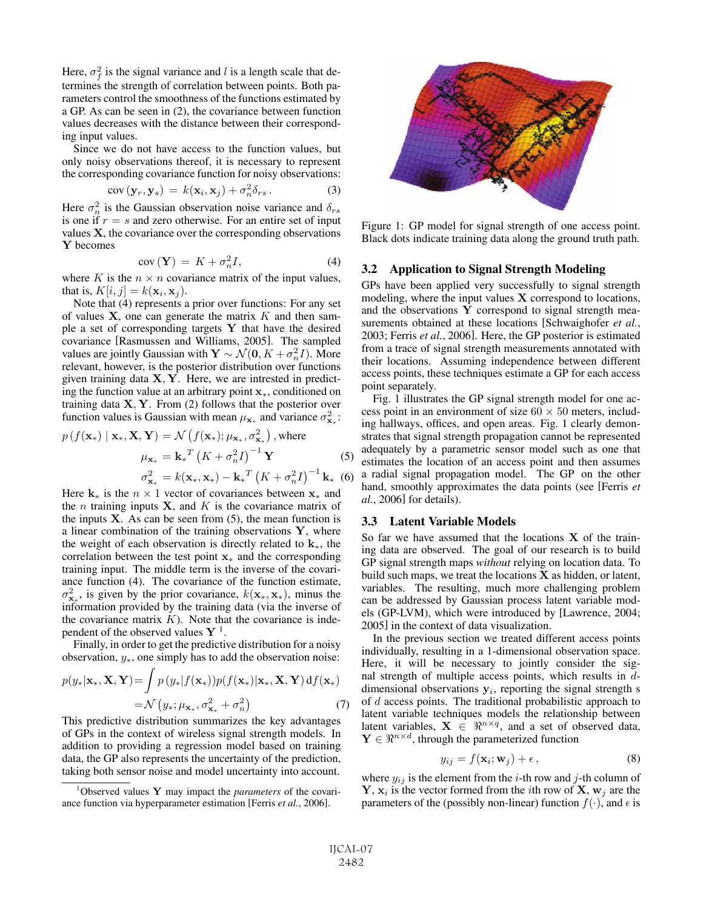Here,  $\sigma_f^2$  is the signal variance and l is a length scale that determines the strength of correlation between points. Both parameters control the smoothness of the functions estimated by a GP. As can be seen in (2), the covariance between function values decreases with the distance between their corresponding input values.

Since we do not have access to the function values, but only noisy observations thereof, it is necessary to represent the corresponding covariance function for noisy observations:

$$
cov(\mathbf{y}_r, \mathbf{y}_s) = k(\mathbf{x}_i, \mathbf{x}_j) + \sigma_n^2 \delta_{rs}.
$$
 (3)

Here  $\sigma_n^2$  is the Gaussian observation noise variance and  $\delta_{rs}$ is one if  $r = s$  and zero otherwise. For an entire set of input values **X**, the covariance over the corresponding observations **Y** becomes

$$
cov\left(\mathbf{Y}\right) = K + \sigma_n^2 I,\tag{4}
$$

where K is the  $n \times n$  covariance matrix of the input values, that is,  $K[i, j] = k(\mathbf{x}_i, \mathbf{x}_j)$ .

Note that (4) represents a prior over functions: For any set of values  $X$ , one can generate the matrix  $K$  and then sample a set of corresponding targets **Y** that have the desired covariance [Rasmussen and Williams, 2005]. The sampled values are jointly Gaussian with  $\mathbf{Y} \sim \mathcal{N}(\mathbf{0}, K + \sigma_n^2 I)$ . More relevant, however, is the posterior distribution over functions given training data **X**, **Y**. Here, we are intrested in predicting the function value at an arbitrary point **x**∗, conditioned on training data **X**, **Y**. From (2) follows that the posterior over function values is Gaussian with mean  $\mu_{\mathbf{x}_{*}}$  and variance  $\sigma_{\mathbf{x}_{*}}^2$ :

$$
p(f(\mathbf{x}_{*}) | \mathbf{x}_{*}, \mathbf{X}, \mathbf{Y}) = \mathcal{N}(f(\mathbf{x}_{*}); \mu_{\mathbf{x}_{*}}, \sigma_{\mathbf{x}_{*}}^{2}), \text{where}
$$
  

$$
\mu_{\mathbf{x}_{*}} = \mathbf{k}_{*}^{T} (K + \sigma_{n}^{2} I)^{-1} \mathbf{Y}
$$
(5)  

$$
\sigma_{\mathbf{x}_{*}}^{2} = k(\mathbf{x}_{*}, \mathbf{x}_{*}) - \mathbf{k}_{*}^{T} (K + \sigma_{n}^{2} I)^{-1} \mathbf{k}_{*}
$$
(6)

Here  $\mathbf{k}_*$  is the  $n \times 1$  vector of covariances between  $\mathbf{x}_*$  and the *n* training inputs **X**, and *K* is the covariance matrix of the inputs  $X$ . As can be seen from  $(5)$ , the mean function is a linear combination of the training observations **Y**, where the weight of each observation is directly related to **k**∗, the correlation between the test point **x**<sup>∗</sup> and the corresponding training input. The middle term is the inverse of the covariance function (4). The covariance of the function estimate,  $\sigma_{\mathbf{x}_{*}}^2$ , is given by the prior covariance,  $k(\mathbf{x}_{*}, \mathbf{x}_{*})$ , minus the information provided by the training data (via the inverse of the covariance matrix  $K$ ). Note that the covariance is independent of the observed values  $Y<sup>1</sup>$ .

Finally, in order to get the predictive distribution for a noisy observation,  $y_*$ , one simply has to add the observation noise:

$$
p(y_*|\mathbf{x}_*, \mathbf{X}, \mathbf{Y}) = \int p(y_*|f(\mathbf{x}_*))p(f(\mathbf{x}_*)|\mathbf{x}_*, \mathbf{X}, \mathbf{Y}) df(\mathbf{x}_*)
$$
  
=  $\mathcal{N}(y_*; \mu_{\mathbf{x}_*}, \sigma_{\mathbf{x}_*}^2 + \sigma_n^2)$  (7)

This predictive distribution summarizes the key advantages of GPs in the context of wireless signal strength models. In addition to providing a regression model based on training data, the GP also represents the uncertainty of the prediction, taking both sensor noise and model uncertainty into account.



Figure 1: GP model for signal strength of one access point. Black dots indicate training data along the ground truth path.

#### 3.2 Application to Signal Strength Modeling

GPs have been applied very successfully to signal strength modeling, where the input values **X** correspond to locations, and the observations **Y** correspond to signal strength measurements obtained at these locations [Schwaighofer *et al.*, 2003; Ferris *et al.*, 2006]. Here, the GP posterior is estimated from a trace of signal strength measurements annotated with their locations. Assuming independence between different access points, these techniques estimate a GP for each access point separately.

Fig. 1 illustrates the GP signal strength model for one access point in an environment of size  $60 \times 50$  meters, including hallways, offices, and open areas. Fig. 1 clearly demonstrates that signal strength propagation cannot be represented adequately by a parametric sensor model such as one that estimates the location of an access point and then assumes a radial signal propagation model. The GP on the other hand, smoothly approximates the data points (see [Ferris *et al.*, 2006] for details).

#### 3.3 Latent Variable Models

So far we have assumed that the locations **X** of the training data are observed. The goal of our research is to build GP signal strength maps *without* relying on location data. To build such maps, we treat the locations **X** as hidden, or latent, variables. The resulting, much more challenging problem can be addressed by Gaussian process latent variable models (GP-LVM), which were introduced by [Lawrence, 2004; 2005] in the context of data visualization.

In the previous section we treated different access points individually, resulting in a 1-dimensional observation space. Here, it will be necessary to jointly consider the signal strength of multiple access points, which results in ddimensional observations  $y_i$ , reporting the signal strength s of  $d$  access points. The traditional probabilistic approach to latent variable techniques models the relationship between latent variables,  $X \in \mathbb{R}^{n \times q}$ , and a set of observed data,  $\mathbf{Y} \in \mathbb{R}^{n \times d}$ , through the parameterized function

$$
y_{ij} = f(\mathbf{x}_i; \mathbf{w}_j) + \epsilon, \tag{8}
$$

where  $y_{ij}$  is the element from the *i*-th row and *j*-th column of  $\mathbf{Y}, \mathbf{x}_i$  is the vector formed from the *i*th row of  $\mathbf{X}, \mathbf{w}_i$  are the parameters of the (possibly non-linear) function  $f(\cdot)$ , and  $\epsilon$  is

<sup>1</sup> Observed values **Y** may impact the *parameters* of the covariance function via hyperparameter estimation [Ferris *et al.*, 2006].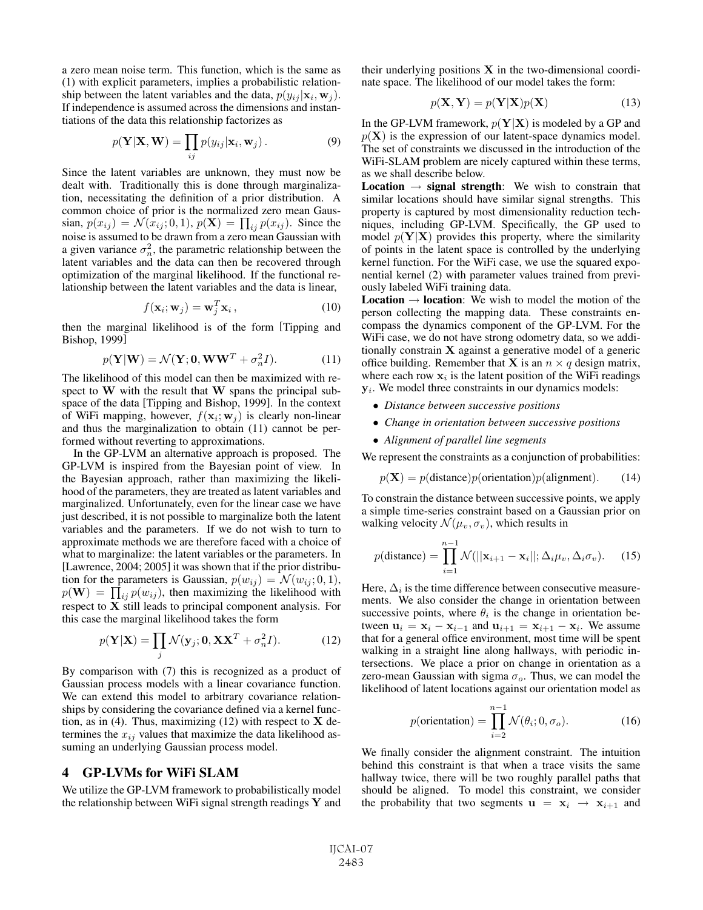a zero mean noise term. This function, which is the same as (1) with explicit parameters, implies a probabilistic relationship between the latent variables and the data,  $p(y_{ij} | \mathbf{x}_i, \mathbf{w}_j)$ . If independence is assumed across the dimensions and instantiations of the data this relationship factorizes as

$$
p(\mathbf{Y}|\mathbf{X}, \mathbf{W}) = \prod_{ij} p(y_{ij}|\mathbf{x}_i, \mathbf{w}_j).
$$
 (9)

Since the latent variables are unknown, they must now be dealt with. Traditionally this is done through marginalization, necessitating the definition of a prior distribution. A common choice of prior is the normalized zero mean Gaussian,  $p(x_{ij}) = \mathcal{N}(x_{ij}; 0, 1), p(\mathbf{X}) = \prod_{ij} p(x_{ij}).$  Since the noise is assumed to be drawn from a zero mean Gaussian with a given variance  $\sigma_n^2$ , the parametric relationship between the latent variables and the data can then be recovered through optimization of the marginal likelihood. If the functional relationship between the latent variables and the data is linear,

$$
f(\mathbf{x}_i; \mathbf{w}_j) = \mathbf{w}_j^T \mathbf{x}_i, \qquad (10)
$$

then the marginal likelihood is of the form [Tipping and Bishop, 1999]

$$
p(\mathbf{Y}|\mathbf{W}) = \mathcal{N}(\mathbf{Y}; \mathbf{0}, \mathbf{W}\mathbf{W}^T + \sigma_n^2 I). \tag{11}
$$

The likelihood of this model can then be maximized with respect to **W** with the result that **W** spans the principal subspace of the data [Tipping and Bishop, 1999]. In the context of WiFi mapping, however,  $f(\mathbf{x}_i; \mathbf{w}_j)$  is clearly non-linear and thus the marginalization to obtain (11) cannot be performed without reverting to approximations.

In the GP-LVM an alternative approach is proposed. The GP-LVM is inspired from the Bayesian point of view. In the Bayesian approach, rather than maximizing the likelihood of the parameters, they are treated as latent variables and marginalized. Unfortunately, even for the linear case we have just described, it is not possible to marginalize both the latent variables and the parameters. If we do not wish to turn to approximate methods we are therefore faced with a choice of what to marginalize: the latent variables or the parameters. In [Lawrence, 2004; 2005] it was shown that if the prior distribution for the parameters is Gaussian,  $p(w_{ij}) = \mathcal{N}(w_{ij}; 0, 1)$ ,  $p(\mathbf{W}) = \prod_{i,j} p(w_{ij})$ , then maximizing the likelihood with respect to **X** still leads to principal component analysis. For this case the marginal likelihood takes the form

$$
p(\mathbf{Y}|\mathbf{X}) = \prod_{j} \mathcal{N}(\mathbf{y}_j; \mathbf{0}, \mathbf{X} \mathbf{X}^T + \sigma_n^2 I). \tag{12}
$$

By comparison with (7) this is recognized as a product of Gaussian process models with a linear covariance function. We can extend this model to arbitrary covariance relationships by considering the covariance defined via a kernel function, as in (4). Thus, maximizing (12) with respect to **X** determines the  $x_{ij}$  values that maximize the data likelihood assuming an underlying Gaussian process model.

#### 4 GP-LVMs for WiFi SLAM

We utilize the GP-LVM framework to probabilistically model the relationship between WiFi signal strength readings **Y** and their underlying positions **X** in the two-dimensional coordinate space. The likelihood of our model takes the form:

$$
p(\mathbf{X}, \mathbf{Y}) = p(\mathbf{Y}|\mathbf{X})p(\mathbf{X})
$$
\n(13)

In the GP-LVM framework,  $p(Y|X)$  is modeled by a GP and  $p(X)$  is the expression of our latent-space dynamics model. The set of constraints we discussed in the introduction of the WiFi-SLAM problem are nicely captured within these terms, as we shall describe below.

**Location**  $\rightarrow$  **signal strength**: We wish to constrain that similar locations should have similar signal strengths. This property is captured by most dimensionality reduction techniques, including GP-LVM. Specifically, the GP used to model  $p(Y|X)$  provides this property, where the similarity of points in the latent space is controlled by the underlying kernel function. For the WiFi case, we use the squared exponential kernel (2) with parameter values trained from previously labeled WiFi training data.

**Location**  $\rightarrow$  **location**: We wish to model the motion of the person collecting the mapping data. These constraints encompass the dynamics component of the GP-LVM. For the WiFi case, we do not have strong odometry data, so we additionally constrain **X** against a generative model of a generic office building. Remember that **X** is an  $n \times q$  design matrix, where each row  $x_i$  is the latent position of the WiFi readings **y**<sub>i</sub>. We model three constraints in our dynamics models:

- *Distance between successive positions*
- *Change in orientation between successive positions*
- *Alignment of parallel line segments*

We represent the constraints as a conjunction of probabilities:

$$
p(\mathbf{X}) = p(\text{distance})p(\text{orientation})p(\text{alignment}).
$$
 (14)

To constrain the distance between successive points, we apply a simple time-series constraint based on a Gaussian prior on walking velocity  $\mathcal{N}(\mu_v, \sigma_v)$ , which results in

$$
p(\text{distance}) = \prod_{i=1}^{n-1} \mathcal{N}(||\mathbf{x}_{i+1} - \mathbf{x}_i||; \Delta_i \mu_v, \Delta_i \sigma_v).
$$
 (15)

Here,  $\Delta_i$  is the time difference between consecutive measurements. We also consider the change in orientation between successive points, where  $\theta_i$  is the change in orientation between  $\mathbf{u}_i = \mathbf{x}_i - \mathbf{x}_{i-1}$  and  $\mathbf{u}_{i+1} = \mathbf{x}_{i+1} - \mathbf{x}_i$ . We assume that for a general office environment, most time will be spent walking in a straight line along hallways, with periodic intersections. We place a prior on change in orientation as a zero-mean Gaussian with sigma  $\sigma_o$ . Thus, we can model the likelihood of latent locations against our orientation model as

$$
p(\text{orientation}) = \prod_{i=2}^{n-1} \mathcal{N}(\theta_i; 0, \sigma_o). \tag{16}
$$

We finally consider the alignment constraint. The intuition behind this constraint is that when a trace visits the same hallway twice, there will be two roughly parallel paths that should be aligned. To model this constraint, we consider the probability that two segments  $\mathbf{u} = \mathbf{x}_i \rightarrow \mathbf{x}_{i+1}$  and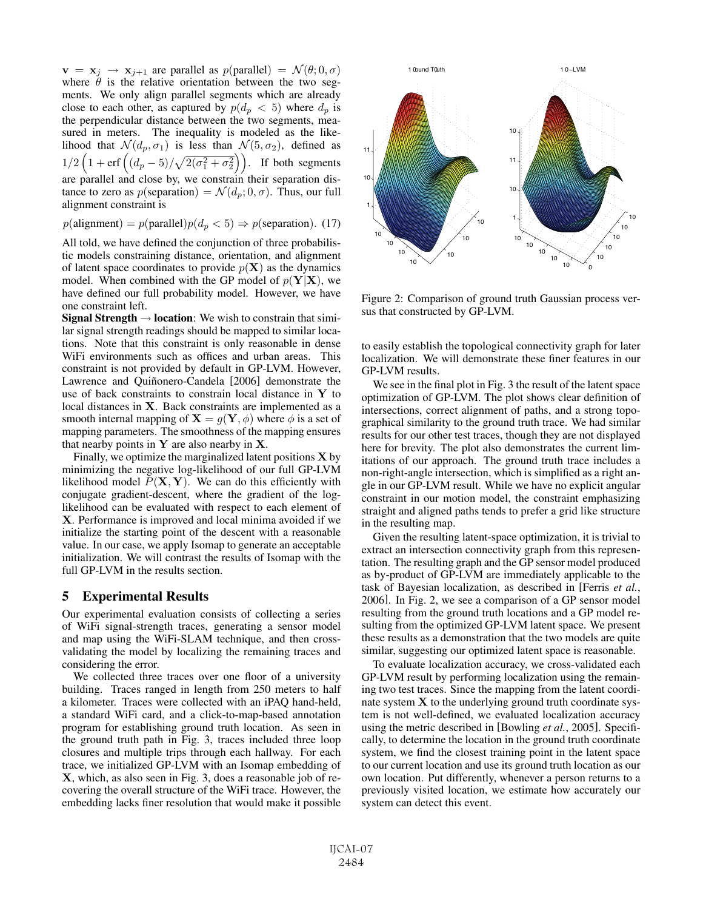$\mathbf{v} = \mathbf{x}_j \rightarrow \mathbf{x}_{j+1}$  are parallel as  $p(\text{parallel}) = \mathcal{N}(\theta; 0, \sigma)$ where  $\hat{\theta}$  is the relative orientation between the two segments. We only align parallel segments which are already close to each other, as captured by  $p(d_p < 5)$  where  $d_p$  is the perpendicular distance between the two segments, measured in meters. The inequality is modeled as the likelihood that  $\mathcal{N}(d_p, \sigma_1)$  is less than  $\mathcal{N}(5, \sigma_2)$ , defined as  $1/2\left(1+\text{erf}\left((d_p-5)/\sqrt{2(\sigma_1^2+\sigma_2^2}\right)\right)$ . If both segments are parallel and close by, we constrain their separation distance to zero as  $p$ (separation) =  $\mathcal{N}(d_p; 0, \sigma)$ . Thus, our full alignment constraint is

 $p(\text{alignment}) = p(\text{parallel})p(d_p < 5) \Rightarrow p(\text{separation}).$  (17)

All told, we have defined the conjunction of three probabilistic models constraining distance, orientation, and alignment of latent space coordinates to provide  $p(X)$  as the dynamics model. When combined with the GP model of  $p(Y|X)$ , we have defined our full probability model. However, we have one constraint left.

Signal Strength  $\rightarrow$  location: We wish to constrain that similar signal strength readings should be mapped to similar locations. Note that this constraint is only reasonable in dense WiFi environments such as offices and urban areas. This constraint is not provided by default in GP-LVM. However, Lawrence and Quiñonero-Candela [2006] demonstrate the use of back constraints to constrain local distance in **Y** to local distances in **X**. Back constraints are implemented as a smooth internal mapping of  $X = g(Y, \phi)$  where  $\phi$  is a set of mapping parameters. The smoothness of the mapping ensures that nearby points in **Y** are also nearby in **X**.

Finally, we optimize the marginalized latent positions **X** by minimizing the negative log-likelihood of our full GP-LVM likelihood model  $P(X, Y)$ . We can do this efficiently with conjugate gradient-descent, where the gradient of the loglikelihood can be evaluated with respect to each element of **X**. Performance is improved and local minima avoided if we initialize the starting point of the descent with a reasonable value. In our case, we apply Isomap to generate an acceptable initialization. We will contrast the results of Isomap with the full GP-LVM in the results section.

#### 5 Experimental Results

Our experimental evaluation consists of collecting a series of WiFi signal-strength traces, generating a sensor model and map using the WiFi-SLAM technique, and then crossvalidating the model by localizing the remaining traces and considering the error.

We collected three traces over one floor of a university building. Traces ranged in length from 250 meters to half a kilometer. Traces were collected with an iPAQ hand-held, a standard WiFi card, and a click-to-map-based annotation program for establishing ground truth location. As seen in the ground truth path in Fig. 3, traces included three loop closures and multiple trips through each hallway. For each trace, we initialized GP-LVM with an Isomap embedding of **X**, which, as also seen in Fig. 3, does a reasonable job of recovering the overall structure of the WiFi trace. However, the embedding lacks finer resolution that would make it possible



Figure 2: Comparison of ground truth Gaussian process versus that constructed by GP-LVM.

to easily establish the topological connectivity graph for later localization. We will demonstrate these finer features in our GP-LVM results.

We see in the final plot in Fig. 3 the result of the latent space optimization of GP-LVM. The plot shows clear definition of intersections, correct alignment of paths, and a strong topographical similarity to the ground truth trace. We had similar results for our other test traces, though they are not displayed here for brevity. The plot also demonstrates the current limitations of our approach. The ground truth trace includes a non-right-angle intersection, which is simplified as a right angle in our GP-LVM result. While we have no explicit angular constraint in our motion model, the constraint emphasizing straight and aligned paths tends to prefer a grid like structure in the resulting map.

Given the resulting latent-space optimization, it is trivial to extract an intersection connectivity graph from this representation. The resulting graph and the GP sensor model produced as by-product of GP-LVM are immediately applicable to the task of Bayesian localization, as described in [Ferris *et al.*, 2006]. In Fig. 2, we see a comparison of a GP sensor model resulting from the ground truth locations and a GP model resulting from the optimized GP-LVM latent space. We present these results as a demonstration that the two models are quite similar, suggesting our optimized latent space is reasonable.

To evaluate localization accuracy, we cross-validated each GP-LVM result by performing localization using the remaining two test traces. Since the mapping from the latent coordinate system **X** to the underlying ground truth coordinate system is not well-defined, we evaluated localization accuracy using the metric described in [Bowling *et al.*, 2005]. Specifically, to determine the location in the ground truth coordinate system, we find the closest training point in the latent space to our current location and use its ground truth location as our own location. Put differently, whenever a person returns to a previously visited location, we estimate how accurately our system can detect this event.